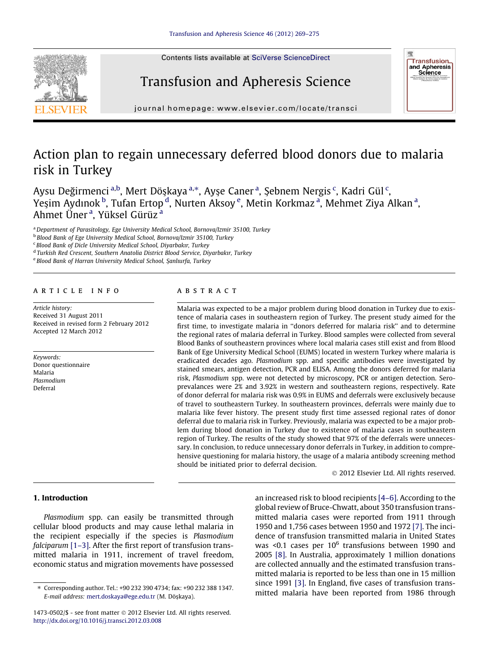

# Transfusion and Apheresis Science



journal homepage: [www.elsevier.com/locate/transci](http://www.elsevier.com/locate/transci)

## Action plan to regain unnecessary deferred blood donors due to malaria risk in Turkey

Aysu Değirmenci <sup>a,b</sup>, Mert Döşkaya <sup>a,\*</sup>, Ayşe Caner <sup>a</sup>, Şebnem Nergis <sup>c</sup>, Kadri Gül <sup>c</sup>, Yeşim Aydınok <sup>b</sup>, Tufan Ertop <sup>d</sup>, Nurten Aksoy <sup>e</sup>, Metin Korkmaz <sup>a</sup>, Mehmet Ziya Alkan <sup>a</sup>, Ahmet Üner<sup>a</sup>, Yüksel Gürüz<sup>a</sup>

<sup>a</sup> Department of Parasitology, Ege University Medical School, Bornova/Izmir 35100, Turkey

<sup>b</sup> Blood Bank of Ege University Medical School, Bornova/Izmir 35100, Turkey

<sup>c</sup> Blood Bank of Dicle University Medical School, Diyarbakır, Turkey

<sup>d</sup> Turkish Red Crescent, Southern Anatolia District Blood Service, Diyarbakır, Turkey

<sup>e</sup> Blood Bank of Harran University Medical School, Şanlıurfa, Turkey

## article info

Article history: Received 31 August 2011 Received in revised form 2 February 2012 Accepted 12 March 2012

Keywords: Donor questionnaire Malaria Plasmodium Deferral

## **ABSTRACT**

Malaria was expected to be a major problem during blood donation in Turkey due to existence of malaria cases in southeastern region of Turkey. The present study aimed for the first time, to investigate malaria in ''donors deferred for malaria risk'' and to determine the regional rates of malaria deferral in Turkey. Blood samples were collected from several Blood Banks of southeastern provinces where local malaria cases still exist and from Blood Bank of Ege University Medical School (EUMS) located in western Turkey where malaria is eradicated decades ago. Plasmodium spp. and specific antibodies were investigated by stained smears, antigen detection, PCR and ELISA. Among the donors deferred for malaria risk, Plasmodium spp. were not detected by microscopy, PCR or antigen detection. Seroprevalances were 2% and 3.92% in western and southeastern regions, respectively. Rate of donor deferral for malaria risk was 0.9% in EUMS and deferrals were exclusively because of travel to southeastern Turkey. In southeastern provinces, deferrals were mainly due to malaria like fever history. The present study first time assessed regional rates of donor deferral due to malaria risk in Turkey. Previously, malaria was expected to be a major problem during blood donation in Turkey due to existence of malaria cases in southeastern region of Turkey. The results of the study showed that 97% of the deferrals were unnecessary. In conclusion, to reduce unnecessary donor deferrals in Turkey, in addition to comprehensive questioning for malaria history, the usage of a malaria antibody screening method should be initiated prior to deferral decision.

- 2012 Elsevier Ltd. All rights reserved.

## 1. Introduction

Plasmodium spp. can easily be transmitted through cellular blood products and may cause lethal malaria in the recipient especially if the species is Plasmodium falciparum [1-3]. After the first report of transfusion transmitted malaria in 1911, increment of travel freedom, economic status and migration movements have possessed an increased risk to blood recipients [\[4–6\]](#page-6-0). According to the global review of Bruce-Chwatt, about 350 transfusion transmitted malaria cases were reported from 1911 through 1950 and 1,756 cases between 1950 and 1972 [\[7\]](#page-6-0). The incidence of transfusion transmitted malaria in United States was <0.1 cases per  $10^6$  transfusions between 1990 and 2005 [\[8\].](#page-6-0) In Australia, approximately 1 million donations are collected annually and the estimated transfusion transmitted malaria is reported to be less than one in 15 million since 1991 [\[3\]](#page-6-0). In England, five cases of transfusion transmitted malaria have been reported from 1986 through

<sup>⇑</sup> Corresponding author. Tel.: +90 232 390 4734; fax: +90 232 388 1347. E-mail address: [mert.doskaya@ege.edu.tr](mailto:mert.doskaya@ege.edu.tr) (M. Döşkaya).

<sup>1473-0502/\$ -</sup> see front matter © 2012 Elsevier Ltd. All rights reserved. <http://dx.doi.org/10.1016/j.transci.2012.03.008>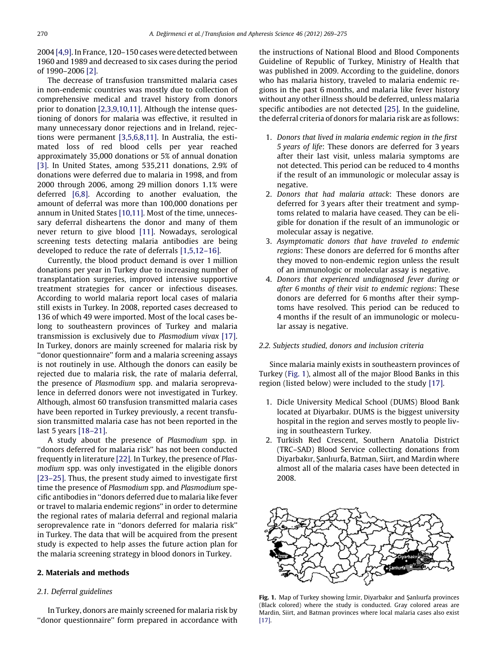<span id="page-1-0"></span>2004 [\[4,9\].](#page-6-0) In France, 120–150 cases were detected between 1960 and 1989 and decreased to six cases during the period of 1990–2006 [\[2\]](#page-6-0).

The decrease of transfusion transmitted malaria cases in non-endemic countries was mostly due to collection of comprehensive medical and travel history from donors prior to donation [\[2,3,9,10,11\]](#page-6-0). Although the intense questioning of donors for malaria was effective, it resulted in many unnecessary donor rejections and in Ireland, rejections were permanent [\[3,5,6,8,11\]](#page-6-0). In Australia, the estimated loss of red blood cells per year reached approximately 35,000 donations or 5% of annual donation [\[3\].](#page-6-0) In United States, among 535,211 donations, 2.9% of donations were deferred due to malaria in 1998, and from 2000 through 2006, among 29 million donors 1.1% were deferred [\[6,8\]](#page-6-0). According to another evaluation, the amount of deferral was more than 100,000 donations per annum in United States [\[10,11\]](#page-6-0). Most of the time, unnecessary deferral disheartens the donor and many of them never return to give blood [\[11\].](#page-6-0) Nowadays, serological screening tests detecting malaria antibodies are being developed to reduce the rate of deferrals [\[1,5,12–16\]](#page-6-0).

Currently, the blood product demand is over 1 million donations per year in Turkey due to increasing number of transplantation surgeries, improved intensive supportive treatment strategies for cancer or infectious diseases. According to world malaria report local cases of malaria still exists in Turkey. In 2008, reported cases decreased to 136 of which 49 were imported. Most of the local cases belong to southeastern provinces of Turkey and malaria transmission is exclusively due to Plasmodium vivax [\[17\]](#page-6-0). In Turkey, donors are mainly screened for malaria risk by ''donor questionnaire'' form and a malaria screening assays is not routinely in use. Although the donors can easily be rejected due to malaria risk, the rate of malaria deferral, the presence of Plasmodium spp. and malaria seroprevalence in deferred donors were not investigated in Turkey. Although, almost 60 transfusion transmitted malaria cases have been reported in Turkey previously, a recent transfusion transmitted malaria case has not been reported in the last 5 years [\[18–21\]](#page-6-0).

A study about the presence of Plasmodium spp. in ''donors deferred for malaria risk'' has not been conducted frequently in literature [\[22\].](#page-6-0) In Turkey, the presence of Plasmodium spp. was only investigated in the eligible donors [\[23–25\].](#page-6-0) Thus, the present study aimed to investigate first time the presence of Plasmodium spp. and Plasmodium specific antibodies in ''donors deferred due to malaria like fever or travel to malaria endemic regions'' in order to determine the regional rates of malaria deferral and regional malaria seroprevalence rate in ''donors deferred for malaria risk'' in Turkey. The data that will be acquired from the present study is expected to help asses the future action plan for the malaria screening strategy in blood donors in Turkey.

## 2. Materials and methods

## 2.1. Deferral guidelines

In Turkey, donors are mainly screened for malaria risk by ''donor questionnaire'' form prepared in accordance with the instructions of National Blood and Blood Components Guideline of Republic of Turkey, Ministry of Health that was published in 2009. According to the guideline, donors who has malaria history, traveled to malaria endemic regions in the past 6 months, and malaria like fever history without any other illness should be deferred, unless malaria specific antibodies are not detected [\[25\]](#page-6-0). In the guideline, the deferral criteria of donors for malaria risk are as follows:

- 1. Donors that lived in malaria endemic region in the first 5 years of life: These donors are deferred for 3 years after their last visit, unless malaria symptoms are not detected. This period can be reduced to 4 months if the result of an immunologic or molecular assay is negative.
- 2. Donors that had malaria attack: These donors are deferred for 3 years after their treatment and symptoms related to malaria have ceased. They can be eligible for donation if the result of an immunologic or molecular assay is negative.
- 3. Asymptomatic donors that have traveled to endemic regions: These donors are deferred for 6 months after they moved to non-endemic region unless the result of an immunologic or molecular assay is negative.
- 4. Donors that experienced undiagnosed fever during or after 6 months of their visit to endemic regions: These donors are deferred for 6 months after their symptoms have resolved. This period can be reduced to 4 months if the result of an immunologic or molecular assay is negative.

#### 2.2. Subjects studied, donors and inclusion criteria

Since malaria mainly exists in southeastern provinces of Turkey (Fig. 1), almost all of the major Blood Banks in this region (listed below) were included to the study [\[17\]](#page-6-0).

- 1. Dicle University Medical School (DUMS) Blood Bank located at Diyarbakır. DUMS is the biggest university hospital in the region and serves mostly to people living in southeastern Turkey.
- 2. Turkish Red Crescent, Southern Anatolia District (TRC–SAD) Blood Service collecting donations from Diyarbakır, Şanlıurfa, Batman, Siirt, and Mardin where almost all of the malaria cases have been detected in 2008.



Fig. 1. Map of Turkey showing İzmir, Diyarbakır and Şanlıurfa provinces (Black colored) where the study is conducted. Gray colored areas are Mardin, Siirt, and Batman provinces where local malaria cases also exist [\[17\].](#page-6-0)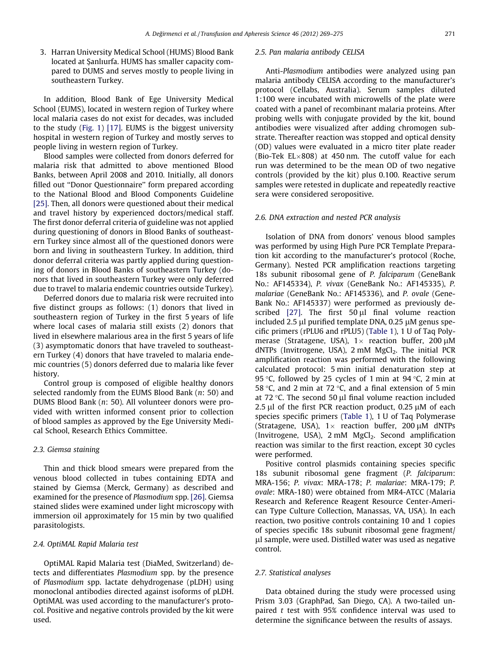3. Harran University Medical School (HUMS) Blood Bank located at Şanlıurfa. HUMS has smaller capacity compared to DUMS and serves mostly to people living in southeastern Turkey.

In addition, Blood Bank of Ege University Medical School (EUMS), located in western region of Turkey where local malaria cases do not exist for decades, was included to the study ([Fig. 1\)](#page-1-0) [\[17\].](#page-6-0) EUMS is the biggest university hospital in western region of Turkey and mostly serves to people living in western region of Turkey.

Blood samples were collected from donors deferred for malaria risk that admitted to above mentioned Blood Banks, between April 2008 and 2010. Initially, all donors filled out ''Donor Questionnaire'' form prepared according to the National Blood and Blood Components Guideline [\[25\]](#page-6-0). Then, all donors were questioned about their medical and travel history by experienced doctors/medical staff. The first donor deferral criteria of guideline was not applied during questioning of donors in Blood Banks of southeastern Turkey since almost all of the questioned donors were born and living in southeastern Turkey. In addition, third donor deferral criteria was partly applied during questioning of donors in Blood Banks of southeastern Turkey (donors that lived in southeastern Turkey were only deferred due to travel to malaria endemic countries outside Turkey).

Deferred donors due to malaria risk were recruited into five distinct groups as follows: (1) donors that lived in southeastern region of Turkey in the first 5 years of life where local cases of malaria still exists (2) donors that lived in elsewhere malarious area in the first 5 years of life (3) asymptomatic donors that have traveled to southeastern Turkey (4) donors that have traveled to malaria endemic countries (5) donors deferred due to malaria like fever history.

Control group is composed of eligible healthy donors selected randomly from the EUMS Blood Bank (n: 50) and DUMS Blood Bank (n: 50). All volunteer donors were provided with written informed consent prior to collection of blood samples as approved by the Ege University Medical School, Research Ethics Committee.

#### 2.3. Giemsa staining

Thin and thick blood smears were prepared from the venous blood collected in tubes containing EDTA and stained by Giemsa (Merck, Germany) as described and examined for the presence of Plasmodium spp. [\[26\]](#page-6-0). Giemsa stained slides were examined under light microscopy with immersion oil approximately for 15 min by two qualified parasitologists.

### 2.4. OptiMAL Rapid Malaria test

OptiMAL Rapid Malaria test (DiaMed, Switzerland) detects and differentiates Plasmodium spp. by the presence of Plasmodium spp. lactate dehydrogenase (pLDH) using monoclonal antibodies directed against isoforms of pLDH. OptiMAL was used according to the manufacturer's protocol. Positive and negative controls provided by the kit were used.

#### 2.5. Pan malaria antibody CELISA

Anti-Plasmodium antibodies were analyzed using pan malaria antibody CELISA according to the manufacturer's protocol (Cellabs, Australia). Serum samples diluted 1:100 were incubated with microwells of the plate were coated with a panel of recombinant malaria proteins. After probing wells with conjugate provided by the kit, bound antibodies were visualized after adding chromogen substrate. Thereafter reaction was stopped and optical density (OD) values were evaluated in a micro titer plate reader (Bio-Tek EL $\times$ 808) at 450 nm. The cutoff value for each run was determined to be the mean OD of two negative controls (provided by the kit) plus 0.100. Reactive serum samples were retested in duplicate and repeatedly reactive sera were considered seropositive.

#### 2.6. DNA extraction and nested PCR analysis

Isolation of DNA from donors' venous blood samples was performed by using High Pure PCR Template Preparation kit according to the manufacturer's protocol (Roche, Germany). Nested PCR amplification reactions targeting 18s subunit ribosomal gene of P. falciparum (GeneBank No.: AF145334), P. vivax (GeneBank No.: AF145335), P. malariae (GeneBank No.: AF145336), and P. ovale (Gene-Bank No.: AF145337) were performed as previously described  $[27]$ . The first  $50 \mu l$  final volume reaction included 2.5  $\mu$ l purified template DNA, 0.25  $\mu$ M genus specific primers (rPLU6 and rPLU5) ([Table 1](#page-3-0)), 1 U of Taq Polymerase (Stratagene, USA),  $1 \times$  reaction buffer, 200  $\mu$ M dNTPs (Invitrogene, USA),  $2 \text{ mM } MgCl_2$ . The initial PCR amplification reaction was performed with the following calculated protocol: 5 min initial denaturation step at 95 °C, followed by 25 cycles of 1 min at 94 °C, 2 min at 58 °C, and 2 min at 72 °C, and a final extension of 5 min at 72 °C. The second 50  $\mu$ l final volume reaction included 2.5  $\mu$ l of the first PCR reaction product, 0.25  $\mu$ M of each species specific primers ([Table 1\)](#page-3-0), 1 U of Taq Polymerase (Stratagene, USA),  $1 \times$  reaction buffer, 200  $\mu$ M dNTPs (Invitrogene, USA), 2 mM MgCl<sub>2</sub>. Second amplification reaction was similar to the first reaction, except 30 cycles were performed.

Positive control plasmids containing species specific 18s subunit ribosomal gene fragment (P. falciparum: MRA-156; P. vivax: MRA-178; P. malariae: MRA-179; P. ovale: MRA-180) were obtained from MR4-ATCC (Malaria Research and Reference Reagent Resource Center-American Type Culture Collection, Manassas, VA, USA). In each reaction, two positive controls containing 10 and 1 copies of species specific 18s subunit ribosomal gene fragment/ ll sample, were used. Distilled water was used as negative control.

#### 2.7. Statistical analyses

Data obtained during the study were processed using Prism 3.03 (GraphPad, San Diego, CA). A two-tailed unpaired  $t$  test with 95% confidence interval was used to determine the significance between the results of assays.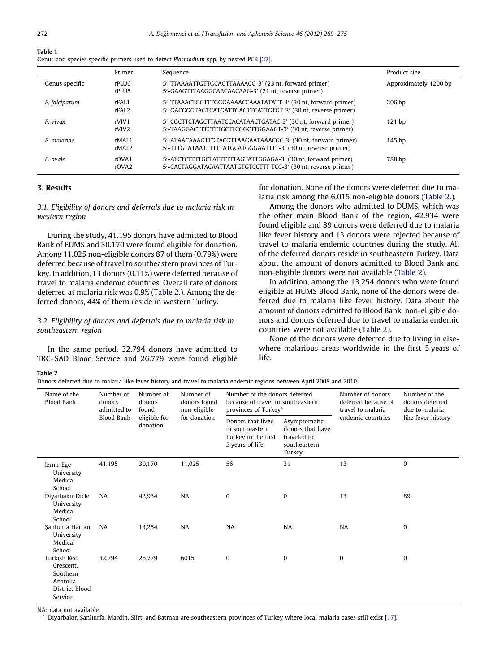<span id="page-3-0"></span>

| Table 1                                                                               |  |
|---------------------------------------------------------------------------------------|--|
| Genus and species specific primers used to detect Plasmodium spp. by nested PCR [27]. |  |

|                | Primer                     | Sequence                                                                                                                      | Product size          |
|----------------|----------------------------|-------------------------------------------------------------------------------------------------------------------------------|-----------------------|
| Genus specific | rPLU6<br>rPLU5             | 5'-TTAAAATTGTTGCAGTTAAAACG-3' (23 nt, forward primer)<br>5'-GAAGTTTAAGGCAACAACAAG-3' (21 nt, reverse primer)                  | Approximately 1200 bp |
| P. falciparum  | rFAL1<br>rFAL <sub>2</sub> | 5'-TTAAACTGGTTTGGGAAAACCAAATATATT-3' (30 nt, forward primer)<br>5'-GACGGGTAGTCATGATTGAGTTCATTGTGT-3' (30 nt, reverse primer)  | 206 <sub>bp</sub>     |
| P. vivax       | rVIV1<br>rVIV <sub>2</sub> | 5'-CGCTTCTAGCTTAATCCACATAACTGATAC-3' (30 nt, forward primer)<br>5'-TAAGGACTTTCTTTGCTTCGGCTTGGAAGT-3' (30 nt, reverse primer)  | 121bp                 |
| P. malariae    | rMAL1<br>rMAL <sub>2</sub> | 5'-ATAACAAAGTTGTACGTTAAGAATAAACGC-3' (30 nt, forward primer)<br>5'-TTTGTATAATTTTTTATGCATGGGAATTTT-3' (30 nt, reverse primer)  | 145 <sub>bp</sub>     |
| P. ovale       | rOVA1<br>r <sub>OVA2</sub> | 5'-ATCTCTTTTGCTATTTTTTAGTATTGGAGA-3' (30 nt, forward primer)<br>5'-CACTAGGATACAATTAATGTGTCCTTT TCC-3' (30 nt, reverse primer) | 788 bp                |

### 3. Results

3.1. Eligibility of donors and deferrals due to malaria risk in western region

During the study, 41.195 donors have admitted to Blood Bank of EUMS and 30.170 were found eligible for donation. Among 11.025 non-eligible donors 87 of them (0.79%) were deferred because of travel to southeastern provinces of Turkey. In addition, 13 donors (0.11%) were deferred because of travel to malaria endemic countries. Overall rate of donors deferred at malaria risk was 0.9% (Table 2.). Among the deferred donors, 44% of them reside in western Turkey.

3.2. Eligibility of donors and deferrals due to malaria risk in southeastern region

In the same period, 32.794 donors have admitted to TRC–SAD Blood Service and 26.779 were found eligible

for donation. None of the donors were deferred due to malaria risk among the 6.015 non-eligible donors (Table 2.).

Among the donors who admitted to DUMS, which was the other main Blood Bank of the region, 42.934 were found eligible and 89 donors were deferred due to malaria like fever history and 13 donors were rejected because of travel to malaria endemic countries during the study. All of the deferred donors reside in southeastern Turkey. Data about the amount of donors admitted to Blood Bank and non-eligible donors were not available (Table 2).

In addition, among the 13.254 donors who were found eligible at HUMS Blood Bank, none of the donors were deferred due to malaria like fever history. Data about the amount of donors admitted to Blood Bank, non-eligible donors and donors deferred due to travel to malaria endemic countries were not available (Table 2).

None of the donors were deferred due to living in elsewhere malarious areas worldwide in the first 5 years of life.

#### Table 2

Donors deferred due to malaria like fever history and travel to malaria endemic regions between April 2008 and 2010.

| Name of the<br><b>Blood Bank</b>                                                     | Number of<br>donors<br>admitted to<br>Blood Bank | Number of<br>donors<br>found<br>eligible for<br>donation | Number of<br>donors found<br>non-eligible<br>for donation | Number of the donors deferred<br>because of travel to southeastern<br>provinces of Turkey <sup>a</sup> |                                                                           | Number of donors<br>deferred because of<br>travel to malaria | Number of the<br>donors deferred<br>due to malaria |
|--------------------------------------------------------------------------------------|--------------------------------------------------|----------------------------------------------------------|-----------------------------------------------------------|--------------------------------------------------------------------------------------------------------|---------------------------------------------------------------------------|--------------------------------------------------------------|----------------------------------------------------|
|                                                                                      |                                                  |                                                          |                                                           | Donors that lived<br>in southeastern<br>Turkey in the first<br>5 years of life                         | Asymptomatic<br>donors that have<br>traveled to<br>southeastern<br>Turkey | endemic countries                                            | like fever history                                 |
| İzmir Ege<br>University<br>Medical<br>School                                         | 41,195                                           | 30.170                                                   | 11,025                                                    | 56                                                                                                     | 31                                                                        | 13                                                           | $\Omega$                                           |
| Diyarbakır Dicle<br>University<br>Medical<br>School                                  | <b>NA</b>                                        | 42,934                                                   | <b>NA</b>                                                 | $\mathbf{0}$                                                                                           | $\mathbf{0}$                                                              | 13                                                           | 89                                                 |
| Sanlıurfa Harran<br>University<br>Medical<br>School                                  | <b>NA</b>                                        | 13,254                                                   | <b>NA</b>                                                 | <b>NA</b>                                                                                              | <b>NA</b>                                                                 | <b>NA</b>                                                    | $\bf{0}$                                           |
| <b>Turkish Red</b><br>Crescent,<br>Southern<br>Anatolia<br>District Blood<br>Service | 32,794                                           | 26.779                                                   | 6015                                                      | $\mathbf{0}$                                                                                           | $\mathbf{0}$                                                              | $\bf{0}$                                                     | $\Omega$                                           |

NA: data not available.

a Diyarbakır, Şanlıurfa, Mardin, Siirt, and Batman are southeastern provinces of Turkey where local malaria cases still exist [\[17\].](#page-6-0)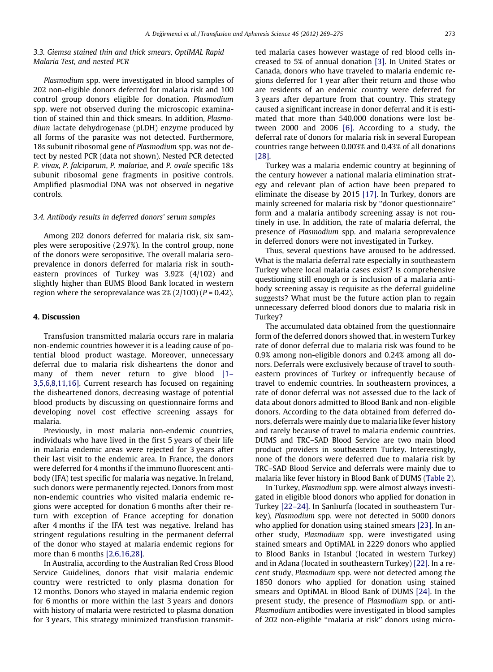## 3.3. Giemsa stained thin and thick smears, OptiMAL Rapid Malaria Test, and nested PCR

Plasmodium spp. were investigated in blood samples of 202 non-eligible donors deferred for malaria risk and 100 control group donors eligible for donation. Plasmodium spp. were not observed during the microscopic examination of stained thin and thick smears. In addition, Plasmodium lactate dehydrogenase (pLDH) enzyme produced by all forms of the parasite was not detected. Furthermore, 18s subunit ribosomal gene of Plasmodium spp. was not detect by nested PCR (data not shown). Nested PCR detected P. vivax, P. falciparum, P. malariae, and P. ovale specific 18s subunit ribosomal gene fragments in positive controls. Amplified plasmodial DNA was not observed in negative controls.

#### 3.4. Antibody results in deferred donors' serum samples

Among 202 donors deferred for malaria risk, six samples were seropositive (2.97%). In the control group, none of the donors were seropositive. The overall malaria seroprevalence in donors deferred for malaria risk in southeastern provinces of Turkey was 3.92% (4/102) and slightly higher than EUMS Blood Bank located in western region where the seroprevalance was  $2\frac{\pi}{2}$  (2/100) (P = 0.42).

#### 4. Discussion

Transfusion transmitted malaria occurs rare in malaria non-endemic countries however it is a leading cause of potential blood product wastage. Moreover, unnecessary deferral due to malaria risk disheartens the donor and many of them never return to give blood [1-[3,5,6,8,11,16\]](#page-6-0). Current research has focused on regaining the disheartened donors, decreasing wastage of potential blood products by discussing on questionnaire forms and developing novel cost effective screening assays for malaria.

Previously, in most malaria non-endemic countries, individuals who have lived in the first 5 years of their life in malaria endemic areas were rejected for 3 years after their last visit to the endemic area. In France, the donors were deferred for 4 months if the immuno fluorescent antibody (IFA) test specific for malaria was negative. In Ireland, such donors were permanently rejected. Donors from most non-endemic countries who visited malaria endemic regions were accepted for donation 6 months after their return with exception of France accepting for donation after 4 months if the IFA test was negative. Ireland has stringent regulations resulting in the permanent deferral of the donor who stayed at malaria endemic regions for more than 6 months [\[2,6,16,28\]](#page-6-0).

In Australia, according to the Australian Red Cross Blood Service Guidelines, donors that visit malaria endemic country were restricted to only plasma donation for 12 months. Donors who stayed in malaria endemic region for 6 months or more within the last 3 years and donors with history of malaria were restricted to plasma donation for 3 years. This strategy minimized transfusion transmitted malaria cases however wastage of red blood cells increased to 5% of annual donation [\[3\].](#page-6-0) In United States or Canada, donors who have traveled to malaria endemic regions deferred for 1 year after their return and those who are residents of an endemic country were deferred for 3 years after departure from that country. This strategy caused a significant increase in donor deferral and it is estimated that more than 540.000 donations were lost between 2000 and 2006 [\[6\]](#page-6-0). According to a study, the deferral rate of donors for malaria risk in several European countries range between 0.003% and 0.43% of all donations [\[28\]](#page-6-0).

Turkey was a malaria endemic country at beginning of the century however a national malaria elimination strategy and relevant plan of action have been prepared to eliminate the disease by 2015 [\[17\].](#page-6-0) In Turkey, donors are mainly screened for malaria risk by ''donor questionnaire'' form and a malaria antibody screening assay is not routinely in use. In addition, the rate of malaria deferral, the presence of Plasmodium spp. and malaria seroprevalence in deferred donors were not investigated in Turkey.

Thus, several questions have aroused to be addressed. What is the malaria deferral rate especially in southeastern Turkey where local malaria cases exist? Is comprehensive questioning still enough or is inclusion of a malaria antibody screening assay is requisite as the deferral guideline suggests? What must be the future action plan to regain unnecessary deferred blood donors due to malaria risk in Turkey?

The accumulated data obtained from the questionnaire form of the deferred donors showed that, in western Turkey rate of donor deferral due to malaria risk was found to be 0.9% among non-eligible donors and 0.24% among all donors. Deferrals were exclusively because of travel to southeastern provinces of Turkey or infrequently because of travel to endemic countries. In southeastern provinces, a rate of donor deferral was not assessed due to the lack of data about donors admitted to Blood Bank and non-eligible donors. According to the data obtained from deferred donors, deferrals were mainly due to malaria like fever history and rarely because of travel to malaria endemic countries. DUMS and TRC–SAD Blood Service are two main blood product providers in southeastern Turkey. Interestingly, none of the donors were deferred due to malaria risk by TRC–SAD Blood Service and deferrals were mainly due to malaria like fever history in Blood Bank of DUMS ([Table 2](#page-3-0)).

In Turkey, Plasmodium spp. were almost always investigated in eligible blood donors who applied for donation in Turkey [\[22–24\].](#page-6-0) In Şanlıurfa (located in southeastern Turkey), Plasmodium spp. were not detected in 5000 donors who applied for donation using stained smears [\[23\].](#page-6-0) In another study, Plasmodium spp. were investigated using stained smears and OptiMAL in 2229 donors who applied to Blood Banks in Istanbul (located in western Turkey) and in Adana (located in southeastern Turkey) [\[22\]](#page-6-0). In a recent study, Plasmodium spp. were not detected among the 1850 donors who applied for donation using stained smears and OptiMAL in Blood Bank of DUMS [\[24\]](#page-6-0). In the present study, the presence of Plasmodium spp. or anti-Plasmodium antibodies were investigated in blood samples of 202 non-eligible ''malaria at risk'' donors using micro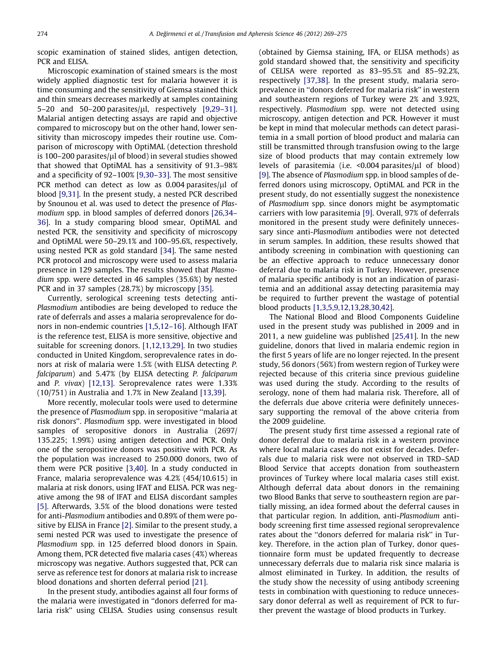scopic examination of stained slides, antigen detection, PCR and ELISA.

Microscopic examination of stained smears is the most widely applied diagnostic test for malaria however it is time consuming and the sensitivity of Giemsa stained thick and thin smears decreases markedly at samples containing 5–20 and 50–200 parasites/ $\mu$ l, respectively [\[9,29–31\]](#page-6-0). Malarial antigen detecting assays are rapid and objective compared to microscopy but on the other hand, lower sensitivity than microscopy impedes their routine use. Comparison of microscopy with OptiMAL (detection threshold is 100–200 parasites/ $\mu$ l of blood) in several studies showed that showed that OptiMAL has a sensitivity of 91.3–98% and a specificity of 92–100% [\[9,30–33\]](#page-6-0). The most sensitive PCR method can detect as low as  $0.004$  parasites/ $\mu$ l of blood [\[9,31\]](#page-6-0). In the present study, a nested PCR described by Snounou et al. was used to detect the presence of Plasmodium spp. in blood samples of deferred donors [\[26,34–](#page-6-0) [36\].](#page-6-0) In a study comparing blood smear, OptiMAL and nested PCR, the sensitivity and specificity of microscopy and OptiMAL were 50–29.1% and 100–95.6%, respectively, using nested PCR as gold standard [\[34\].](#page-6-0) The same nested PCR protocol and microscopy were used to assess malaria presence in 129 samples. The results showed that Plasmodium spp. were detected in 46 samples (35.6%) by nested PCR and in 37 samples (28.7%) by microscopy [\[35\]](#page-6-0).

Currently, serological screening tests detecting anti-Plasmodium antibodies are being developed to reduce the rate of deferrals and asses a malaria seroprevalence for donors in non-endemic countries [\[1,5,12–16\].](#page-6-0) Although IFAT is the reference test, ELISA is more sensitive, objective and suitable for screening donors. [\[1,12,13,29\]](#page-6-0). In two studies conducted in United Kingdom, seroprevalence rates in donors at risk of malaria were 1.5% (with ELISA detecting P. falciparum) and 5.47% (by ELISA detecting P. falciparum and P. vivax) [\[12,13\]](#page-6-0). Seroprevalence rates were 1.33% (10/751) in Australia and 1.7% in New Zealand [\[13,39\]](#page-6-0).

More recently, molecular tools were used to determine the presence of Plasmodium spp. in seropositive ''malaria at risk donors''. Plasmodium spp. were investigated in blood samples of seropositive donors in Australia (2697/ 135.225; 1.99%) using antigen detection and PCR. Only one of the seropositive donors was positive with PCR. As the population was increased to 250.000 donors, two of them were PCR positive [\[3,40\].](#page-6-0) In a study conducted in France, malaria seroprevalence was 4.2% (454/10.615) in malaria at risk donors, using IFAT and ELISA. PCR was negative among the 98 of IFAT and ELISA discordant samples [\[5\].](#page-6-0) Afterwards, 3.5% of the blood donations were tested for anti-Plasmodium antibodies and 0.89% of them were positive by ELISA in France [\[2\]](#page-6-0). Similar to the present study, a semi nested PCR was used to investigate the presence of Plasmodium spp. in 125 deferred blood donors in Spain. Among them, PCR detected five malaria cases (4%) whereas microscopy was negative. Authors suggested that, PCR can serve as reference test for donors at malaria risk to increase blood donations and shorten deferral period [\[21\].](#page-6-0)

In the present study, antibodies against all four forms of the malaria were investigated in ''donors deferred for malaria risk'' using CELISA. Studies using consensus result (obtained by Giemsa staining, IFA, or ELISA methods) as gold standard showed that, the sensitivity and specificity of CELISA were reported as 83–95.5% and 85–92.2%, respectively [\[37,38\].](#page-6-0) In the present study, malaria seroprevalence in ''donors deferred for malaria risk'' in western and southeastern regions of Turkey were 2% and 3.92%, respectively. Plasmodium spp. were not detected using microscopy, antigen detection and PCR. However it must be kept in mind that molecular methods can detect parasitemia in a small portion of blood product and malaria can still be transmitted through transfusion owing to the large size of blood products that may contain extremely low levels of parasitemia (i.e. < 0.004 parasites/ul of blood) [\[9\].](#page-6-0) The absence of Plasmodium spp. in blood samples of deferred donors using microscopy, OptiMAL and PCR in the present study, do not essentially suggest the nonexistence of Plasmodium spp. since donors might be asymptomatic carriers with low parasitemia [\[9\]](#page-6-0). Overall, 97% of deferrals monitored in the present study were definitely unnecessary since anti-Plasmodium antibodies were not detected in serum samples. In addition, these results showed that antibody screening in combination with questioning can be an effective approach to reduce unnecessary donor deferral due to malaria risk in Turkey. However, presence of malaria specific antibody is not an indication of parasitemia and an additional assay detecting parasitemia may be required to further prevent the wastage of potential blood products [\[1,3,5,9,12,13,28,30,42\].](#page-6-0)

The National Blood and Blood Components Guideline used in the present study was published in 2009 and in 2011, a new guideline was published [\[25,41\]](#page-6-0). In the new guideline, donors that lived in malaria endemic region in the first 5 years of life are no longer rejected. In the present study, 56 donors (56%) from western region of Turkey were rejected because of this criteria since previous guideline was used during the study. According to the results of serology, none of them had malaria risk. Therefore, all of the deferrals due above criteria were definitely unnecessary supporting the removal of the above criteria from the 2009 guideline.

The present study first time assessed a regional rate of donor deferral due to malaria risk in a western province where local malaria cases do not exist for decades. Deferrals due to malaria risk were not observed in TRD–SAD Blood Service that accepts donation from southeastern provinces of Turkey where local malaria cases still exist. Although deferral data about donors in the remaining two Blood Banks that serve to southeastern region are partially missing, an idea formed about the deferral causes in that particular region. In addition, anti-Plasmodium antibody screening first time assessed regional seroprevalence rates about the ''donors deferred for malaria risk'' in Turkey. Therefore, in the action plan of Turkey, donor questionnaire form must be updated frequently to decrease unnecessary deferrals due to malaria risk since malaria is almost eliminated in Turkey. In addition, the results of the study show the necessity of using antibody screening tests in combination with questioning to reduce unnecessary donor deferral as well as requirement of PCR to further prevent the wastage of blood products in Turkey.